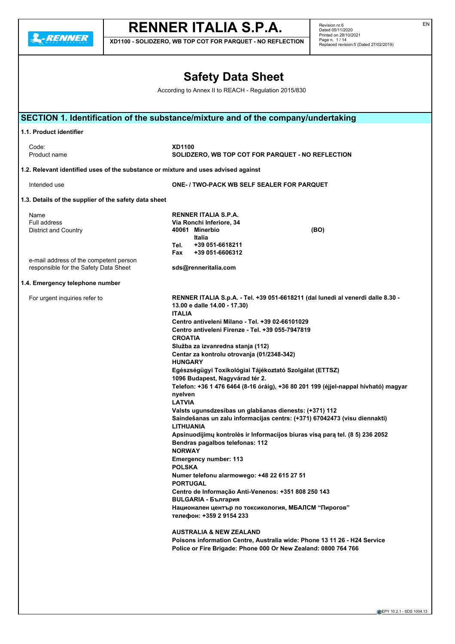**2.RENNER** 

# **RENNER ITALIA S.P.A.**

**XD1100 - SOLIDZERO, WB TOP COT FOR PARQUET - NO REFLECTION**

Revision nr.6 Dated 05/11/2020 Printed on 28/10/2021 Page n. 1/14 Replaced revision:5 (Dated 27/02/2019)

## **Safety Data Sheet** According to Annex II to REACH - Regulation 2015/830 **SECTION 1. Identification of the substance/mixture and of the company/undertaking 1.1. Product identifier** Code: **XD1100** Product name **SOLIDZERO, WB TOP COT FOR PARQUET - NO REFLECTION 1.2. Relevant identified uses of the substance or mixture and uses advised against** Intended use **ONE- / TWO-PACK WB SELF SEALER FOR PARQUET 1.3. Details of the supplier of the safety data sheet** Name **RENNER ITALIA S.P.A.** Full address **Via Ronchi Inferiore, 34** District and Country **40061 Minerbio (BO) Italia Tel. +39 051-6618211 Fax +39 051-6606312** e-mail address of the competent person responsible for the Safety Data Sheet **sds@renneritalia.com 1.4. Emergency telephone number** For urgent inquiries refer to **RENNER ITALIA S.p.A. - Tel. +39 051-6618211 (dal lunedì al venerdì dalle 8.30 - 13.00 e dalle 14.00 - 17.30) ITALIA Centro antiveleni Milano - Tel. +39 02-66101029 Centro antiveleni Firenze - Tel. +39 055-7947819 CROATIA Služba za izvanredna stanja (112) Centar za kontrolu otrovanja (01/2348-342) HUNGARY Egészségügyi Toxikológiai Tájékoztató Szolgálat (ETTSZ) 1096 Budapest, Nagyvárad tér 2. Telefon: +36 1 476 6464 (8-16 óráig), +36 80 201 199 (éjjel-nappal hívható) magyar nyelven LATVIA Valsts ugunsdzesibas un glabšanas dienests: (+371) 112 Saindešanas un zalu informacijas centrs: (+371) 67042473 (visu diennakti) LITHUANIA Apsinuodijimų kontrolės ir Informacijos biuras visą parą tel. (8 5) 236 2052 Bendras pagalbos telefonas: 112 NORWAY Emergency number: 113 POLSKA Numer telefonu alarmowego: +48 22 615 27 51 PORTUGAL Centro de Informação Anti-Venenos: +351 808 250 143 BULGARIA - България Национален център по токсикология, МБАЛСМ "Пирогов" телефон: +359 2 9154 233 AUSTRALIA & NEW ZEALAND Poisons information Centre, Australia wide: Phone 13 11 26 - H24 Service Police or Fire Brigade: Phone 000 Or New Zealand: 0800 764 766**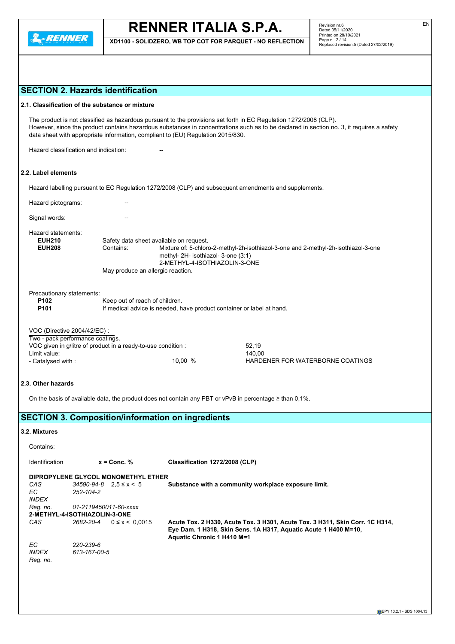

**XD1100 - SOLIDZERO, WB TOP COT FOR PARQUET - NO REFLECTION**

## **SECTION 2. Hazards identification**

|  | 2.1. Classification of the substance or mixture |  |
|--|-------------------------------------------------|--|
|--|-------------------------------------------------|--|

The product is not classified as hazardous pursuant to the provisions set forth in EC Regulation 1272/2008 (CLP). However, since the product contains hazardous substances in concentrations such as to be declared in section no. 3, it requires a safety data sheet with appropriate information, compliant to (EU) Regulation 2015/830.

Hazard classification and indication:

## **2.2. Label elements**

Hazard labelling pursuant to EC Regulation 1272/2008 (CLP) and subsequent amendments and supplements.

Hazard pictograms: --Signal words:

Hazard statements:<br>**EUH210** 

| <b>EUH210</b> | Safety data sheet available on request. |                                                                                                                                                                 |  |  |  |
|---------------|-----------------------------------------|-----------------------------------------------------------------------------------------------------------------------------------------------------------------|--|--|--|
| <b>EUH208</b> | Contains:                               | Mixture of: 5-chloro-2-methyl-2h-isothiazol-3-one and 2-methyl-2h-isothiazol-3-one<br>methyl- $2H$ - isothiazol- 3-one $(3:1)$<br>2-METHYL-4-ISOTHIAZOLIN-3-ONE |  |  |  |
|               | May produce an allergic reaction.       |                                                                                                                                                                 |  |  |  |

Precautionary statements:

| P <sub>102</sub> | Keep out of reach of children.                                        |
|------------------|-----------------------------------------------------------------------|
| P <sub>101</sub> | If medical advice is needed, have product container or label at hand. |
|                  |                                                                       |

| VOC (Directive 2004/42/EC) :                                  |         |                                  |
|---------------------------------------------------------------|---------|----------------------------------|
| Two - pack performance coatings.                              |         |                                  |
| VOC given in g/litre of product in a ready-to-use condition : |         | 52.19                            |
| Limit value:                                                  |         | 140.00                           |
| - Catalvsed with :                                            | 10.00 % | HARDENER FOR WATERBORNE COATINGS |

## **2.3. Other hazards**

On the basis of available data, the product does not contain any PBT or vPvB in percentage ≥ than 0,1%.

## **SECTION 3. Composition/information on ingredients**

## **3.2. Mixtures**

Contains:

Identification **x = Conc. % Classification 1272/2008 (CLP)**

|              | DIPROPYLENE GLYCOL MONOMETHYL ETHER |                                                                                                                                                                               |
|--------------|-------------------------------------|-------------------------------------------------------------------------------------------------------------------------------------------------------------------------------|
| CAS          | $34590 - 94 - 8$ $2.5 \le x \le 5$  | Substance with a community workplace exposure limit.                                                                                                                          |
| EC.          | 252-104-2                           |                                                                                                                                                                               |
| <b>INDEX</b> |                                     |                                                                                                                                                                               |
| Reg. no.     | 01-2119450011-60-xxxx               |                                                                                                                                                                               |
|              | 2-METHYL-4-ISOTHIAZOLIN-3-ONE       |                                                                                                                                                                               |
| CAS          | 2682-20-4<br>$0 \le x \le 0.0015$   | Acute Tox. 2 H330, Acute Tox. 3 H301, Acute Tox. 3 H311, Skin Corr. 1C H314,<br>Eye Dam. 1 H318, Skin Sens. 1A H317, Aquatic Acute 1 H400 M=10,<br>Aquatic Chronic 1 H410 M=1 |
| EC.          | 220-239-6                           |                                                                                                                                                                               |
| <b>INDEX</b> | 613-167-00-5                        |                                                                                                                                                                               |
| Reg. no.     |                                     |                                                                                                                                                                               |
|              |                                     |                                                                                                                                                                               |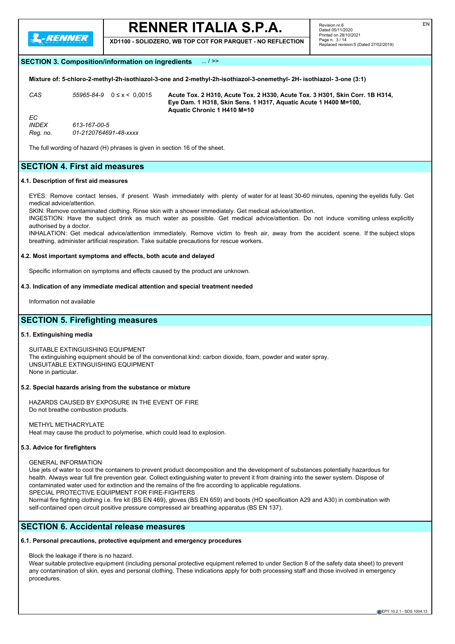

**XD1100 - SOLIDZERO, WB TOP COT FOR PARQUET - NO REFLECTION**

## **SECTION 3. Composition/information on ingredients** ... / >>

**Mixture of: 5-chloro-2-methyl-2h-isothiazol-3-one and 2-methyl-2h-isothiazol-3-onemethyl- 2H- isothiazol- 3-one (3:1)**

*CAS 55965-84-9* 0 ≤ x < 0,0015 **Acute Tox. 2 H310, Acute Tox. 2 H330, Acute Tox. 3 H301, Skin Corr. 1B H314, Eye Dam. 1 H318, Skin Sens. 1 H317, Aquatic Acute 1 H400 M=100, Aquatic Chronic 1 H410 M=10** *EC INDEX 613-167-00-5 Reg. no. 01-2120764691-48-xxxx*

The full wording of hazard (H) phrases is given in section 16 of the sheet.

## **SECTION 4. First aid measures**

### **4.1. Description of first aid measures**

EYES: Remove contact lenses, if present. Wash immediately with plenty of water for at least 30-60 minutes, opening the eyelids fully. Get medical advice/attention.

SKIN: Remove contaminated clothing. Rinse skin with a shower immediately. Get medical advice/attention.

INGESTION: Have the subject drink as much water as possible. Get medical advice/attention. Do not induce vomiting unless explicitly authorised by a doctor

INHALATION: Get medical advice/attention immediately. Remove victim to fresh air, away from the accident scene. If the subject stops breathing, administer artificial respiration. Take suitable precautions for rescue workers.

#### **4.2. Most important symptoms and effects, both acute and delayed**

Specific information on symptoms and effects caused by the product are unknown.

#### **4.3. Indication of any immediate medical attention and special treatment needed**

Information not available

## **SECTION 5. Firefighting measures**

### **5.1. Extinguishing media**

SUITABLE EXTINGUISHING EQUIPMENT The extinguishing equipment should be of the conventional kind: carbon dioxide, foam, powder and water spray. UNSUITABLE EXTINGUISHING EQUIPMENT None in particular.

### **5.2. Special hazards arising from the substance or mixture**

HAZARDS CAUSED BY EXPOSURE IN THE EVENT OF FIRE Do not breathe combustion products.

METHYL METHACRYLATE Heat may cause the product to polymerise, which could lead to explosion.

### **5.3. Advice for firefighters**

### GENERAL INFORMATION

Use jets of water to cool the containers to prevent product decomposition and the development of substances potentially hazardous for health. Always wear full fire prevention gear. Collect extinguishing water to prevent it from draining into the sewer system. Dispose of contaminated water used for extinction and the remains of the fire according to applicable regulations. SPECIAL PROTECTIVE EQUIPMENT FOR FIRE-FIGHTERS

Normal fire fighting clothing i.e. fire kit (BS EN 469), gloves (BS EN 659) and boots (HO specification A29 and A30) in combination with self-contained open circuit positive pressure compressed air breathing apparatus (BS EN 137).

## **SECTION 6. Accidental release measures**

## **6.1. Personal precautions, protective equipment and emergency procedures**

Block the leakage if there is no hazard.

Wear suitable protective equipment (including personal protective equipment referred to under Section 8 of the safety data sheet) to prevent any contamination of skin, eyes and personal clothing. These indications apply for both processing staff and those involved in emergency procedures.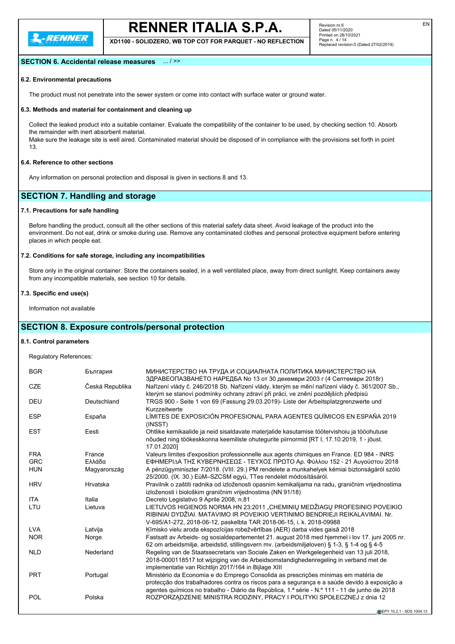

**XD1100 - SOLIDZERO, WB TOP COT FOR PARQUET - NO REFLECTION**

## **SECTION 6. Accidental release measures** ... / >>

## **6.2. Environmental precautions**

The product must not penetrate into the sewer system or come into contact with surface water or ground water.

#### **6.3. Methods and material for containment and cleaning up**

Collect the leaked product into a suitable container. Evaluate the compatibility of the container to be used, by checking section 10. Absorb the remainder with inert absorbent material.

Make sure the leakage site is well aired. Contaminated material should be disposed of in compliance with the provisions set forth in point 13.

## **6.4. Reference to other sections**

Any information on personal protection and disposal is given in sections 8 and 13.

## **SECTION 7. Handling and storage**

## **7.1. Precautions for safe handling**

Before handling the product, consult all the other sections of this material safety data sheet. Avoid leakage of the product into the environment. Do not eat, drink or smoke during use. Remove any contaminated clothes and personal protective equipment before entering places in which people eat.

## **7.2. Conditions for safe storage, including any incompatibilities**

Store only in the original container. Store the containers sealed, in a well ventilated place, away from direct sunlight. Keep containers away from any incompatible materials, see section 10 for details.

#### **7.3. Specific end use(s)**

Information not available

## **SECTION 8. Exposure controls/personal protection**

## **8.1. Control parameters**

Regulatory References:

| <b>BGR</b> | България        | МИНИСТЕРСТВО НА ТРУДА И СОЦИАЛНАТА ПОЛИТИКА МИНИСТЕРСТВО НА<br>ЗДРАВЕОПАЗВАНЕТО НАРЕДБА No 13 от 30 декември 2003 г (4 Септември 2018г)                                                                                                                                             |
|------------|-----------------|-------------------------------------------------------------------------------------------------------------------------------------------------------------------------------------------------------------------------------------------------------------------------------------|
| <b>CZE</b> | Česká Republika | Nařízení vlády č. 246/2018 Sb. Nařízení vlády, kterým se mění nařízení vlády č. 361/2007 Sb.,<br>kterým se stanoví podmínky ochrany zdraví při práci, ve znění pozdějších předpisů                                                                                                  |
| <b>DEU</b> | Deutschland     | TRGS 900 - Seite 1 von 69 (Fassung 29.03.2019)- Liste der Arbeitsplatzgrenzwerte und<br>Kurzzeitwerte                                                                                                                                                                               |
| <b>ESP</b> | España          | LÍMITES DE EXPOSICIÓN PROFESIONAL PARA AGENTES QUÍMICOS EN ESPAÑA 2019<br>(INSST)                                                                                                                                                                                                   |
| <b>EST</b> | Eesti           | Ohtlike kemikaalide ja neid sisaldavate materjalide kasutamise töötervishoiu ja tööohutuse<br>nõuded ning töökeskkonna keemiliste ohutegurite piirnormid [RT I, 17.10.2019, 1 - jõust.<br>17.01.2020]                                                                               |
| <b>FRA</b> | France          | Valeurs limites d'exposition professionnelle aux agents chimiques en France. ED 984 - INRS                                                                                                                                                                                          |
| <b>GRC</b> | Ελλάδα          | ΕΦΗΜΕΡΙΔΑ ΤΗΣ ΚΥΒΕΡΝΗΣΕΩΣ - ΤΕΥΧΟΣ ΠΡΩΤΟ Αρ. Φύλλου 152 - 21 Αυγούστου 2018                                                                                                                                                                                                         |
| <b>HUN</b> | Magyarország    | A pénzügyminiszter 7/2018. (VIII. 29.) PM rendelete a munkahelyek kémiai biztonságáról szóló<br>25/2000. (IX. 30.) EüM-SZCSM együ, TTes rendelet módosításáról.                                                                                                                     |
| <b>HRV</b> | Hrvatska        | Pravilnik o zaštiti radnika od izloženosti opasnim kemikalijama na radu, graničnim vrijednostima<br>izloženosti i biološkim graničnim vrijednostima (NN 91/18)                                                                                                                      |
| <b>ITA</b> | Italia          | Decreto Legislativo 9 Aprile 2008, n.81                                                                                                                                                                                                                                             |
| LTU        | Lietuva         | LIETUVOS HIGIENOS NORMA HN 23:2011 "CHEMINIŲ MEDŽIAGŲ PROFESINIO POVEIKIO<br>RIBINIAI DYDŽIAI. MATAVIMO IR POVEIKIO VERTINIMO BENDRIEJI REIKALAVIMAI. Nr.<br>V-695/A1-272, 2018-06-12, paskelbta TAR 2018-06-15, i. k. 2018-09988                                                   |
| <b>LVA</b> | Latvija         | Kīmisko vielu aroda ekspozīcijas robežvērtības (AER) darba vides gaisā 2018                                                                                                                                                                                                         |
| <b>NOR</b> | Norge           | Fastsatt av Arbeids- og sosialdepartementet 21. august 2018 med hjemmel i lov 17. juni 2005 nr.<br>62 om arbeidsmiljø, arbeidstid, stillingsvern mv. (arbeidsmiljøloven) § 1-3, § 1-4 og § 4-5                                                                                      |
| <b>NLD</b> | Nederland       | Regeling van de Staatssecretaris van Sociale Zaken en Werkgelegenheid van 13 juli 2018,<br>2018-0000118517 tot wijziging van de Arbeidsomstandighedenregeling in verband met de<br>implementatie van Richtlijn 2017/164 in Bijlage XIII                                             |
| <b>PRT</b> | Portugal        | Ministério da Economia e do Emprego Consolida as prescrições mínimas em matéria de<br>protecção dos trabalhadores contra os riscos para a segurança e a saúde devido à exposição a<br>agentes químicos no trabalho - Diário da República, 1.ª série - N.º 111 - 11 de junho de 2018 |
| POL        | Polska          | ROZPORZADZENIE MINISTRA RODZINY, PRACY I POLITYKI SPOŁECZNEJ z dnia 12                                                                                                                                                                                                              |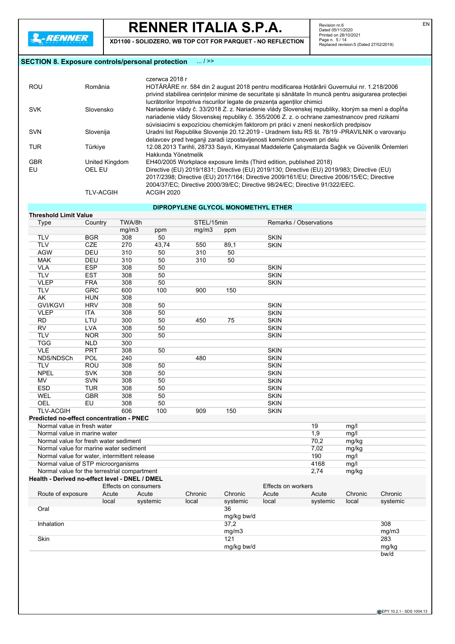**XD1100 - SOLIDZERO, WB TOP COT FOR PARQUET - NO REFLECTION**

Revision nr.6<br>Dated 05/11/2020<br>Printed on 28/10/2021<br>Page n. 5 / 14<br>Replaced revision:5 (Dated 27/02/2019)

## **SECTION 8. Exposure controls/personal protection** ... / >>

|            |                  | czerwca 2018 r                                                                                       |
|------------|------------------|------------------------------------------------------------------------------------------------------|
| <b>ROU</b> | România          | HOTĂRÂRE nr. 584 din 2 august 2018 pentru modificarea Hotărârii Guvernului nr. 1.218/2006            |
|            |                  | privind stabilirea cerintelor minime de securitate si sănătate în muncă pentru asigurarea protectiei |
|            |                  | lucrătorilor împotriva riscurilor legate de prezenta agentilor chimici                               |
| <b>SVK</b> | Slovensko        | Nariadenie vlády č. 33/2018 Z. z. Nariadenie vlády Slovenskej republiky, ktorým sa mení a dopĺňa     |
|            |                  | nariadenie vlády Slovenskej republiky č. 355/2006 Z. z. o ochrane zamestnancov pred rizikami         |
|            |                  | súvisiacimi s expozíciou chemickým faktorom pri práci v znení neskorších predpisov                   |
| <b>SVN</b> | Slovenija        | Uradni list Republike Slovenije 20.12.2019 - Uradnem listu RS št. 78/19 - PRAVILNIK o varovanju      |
|            |                  | delavcev pred tveganji zaradi izpostavljenosti kemičnim snovem pri delu                              |
| TUR.       | Türkiye          | 12.08.2013 Tarihli, 28733 Sayılı, Kimyasal Maddelerle Çalışmalarda Sağlık ve Güvenlik Önlemleri      |
|            |                  | Hakkında Yönetmelik                                                                                  |
| <b>GBR</b> | United Kingdom   | EH40/2005 Workplace exposure limits (Third edition, published 2018)                                  |
| EU         | OEL EU           | Directive (EU) 2019/1831; Directive (EU) 2019/130; Directive (EU) 2019/983; Directive (EU)           |
|            |                  | 2017/2398; Directive (EU) 2017/164; Directive 2009/161/EU; Directive 2006/15/EC; Directive           |
|            |                  | 2004/37/EC; Directive 2000/39/EC; Directive 98/24/EC; Directive 91/322/EEC.                          |
|            | <b>TLV-ACGIH</b> | <b>ACGIH 2020</b>                                                                                    |

## **DIPROPYLENE GLYCOL MONOMETHYL ETHER**

| <b>Threshold Limit Value</b>                   |            |                      |          |            |                  |                           |                        |         |          |
|------------------------------------------------|------------|----------------------|----------|------------|------------------|---------------------------|------------------------|---------|----------|
| Type                                           | Country    | TWA/8h               |          | STEL/15min |                  |                           | Remarks / Observations |         |          |
|                                                |            | mg/m3                | ppm      | mg/m3      | ppm              |                           |                        |         |          |
| <b>TLV</b>                                     | <b>BGR</b> | 308                  | 50       |            |                  | <b>SKIN</b>               |                        |         |          |
| <b>TLV</b>                                     | CZE        | 270                  | 43,74    | 550        | 89,1             | <b>SKIN</b>               |                        |         |          |
| <b>AGW</b>                                     | <b>DEU</b> | 310                  | 50       | 310        | 50               |                           |                        |         |          |
| <b>MAK</b>                                     | DEU        | 310                  | 50       | 310        | 50               |                           |                        |         |          |
| <b>VLA</b>                                     | <b>ESP</b> | 308                  | 50       |            |                  | <b>SKIN</b>               |                        |         |          |
| <b>TLV</b>                                     | <b>EST</b> | 308                  | 50       |            |                  | <b>SKIN</b>               |                        |         |          |
| <b>VLEP</b>                                    | <b>FRA</b> | 308                  | 50       |            |                  | <b>SKIN</b>               |                        |         |          |
| <b>TLV</b>                                     | <b>GRC</b> | 600                  | 100      | 900        | 150              |                           |                        |         |          |
| AK                                             | <b>HUN</b> | 308                  |          |            |                  |                           |                        |         |          |
| <b>GVI/KGVI</b>                                | <b>HRV</b> | 308                  | 50       |            |                  | <b>SKIN</b>               |                        |         |          |
| <b>VLEP</b>                                    | <b>ITA</b> | 308                  | 50       |            |                  | <b>SKIN</b>               |                        |         |          |
| <b>RD</b>                                      | LTU        | 300                  | 50       | 450        | 75               | <b>SKIN</b>               |                        |         |          |
| <b>RV</b>                                      | <b>LVA</b> | 308                  | 50       |            |                  | <b>SKIN</b>               |                        |         |          |
| <b>TLV</b>                                     | <b>NOR</b> | 300                  | 50       |            |                  | <b>SKIN</b>               |                        |         |          |
| <b>TGG</b>                                     | <b>NLD</b> | 300                  |          |            |                  |                           |                        |         |          |
| <b>VLE</b>                                     | <b>PRT</b> | 308                  | 50       |            |                  | <b>SKIN</b>               |                        |         |          |
| NDS/NDSCh                                      | <b>POL</b> | 240                  |          | 480        |                  | <b>SKIN</b>               |                        |         |          |
| <b>TLV</b>                                     | ROU        | 308                  | 50       |            |                  | <b>SKIN</b>               |                        |         |          |
| <b>NPEL</b>                                    | <b>SVK</b> | 308                  | 50       |            |                  | <b>SKIN</b>               |                        |         |          |
| <b>MV</b>                                      | <b>SVN</b> | 308                  | 50       |            |                  | <b>SKIN</b>               |                        |         |          |
| <b>ESD</b>                                     | <b>TUR</b> | 308                  | 50       |            |                  | <b>SKIN</b>               |                        |         |          |
| WEL                                            | <b>GBR</b> | 308                  | 50       |            |                  | <b>SKIN</b>               |                        |         |          |
| OEL                                            | EU         | 308                  | 50       |            |                  | <b>SKIN</b>               |                        |         |          |
| <b>TLV-ACGIH</b>                               |            | 606                  | 100      | 909        | 150              | <b>SKIN</b>               |                        |         |          |
| Predicted no-effect concentration - PNEC       |            |                      |          |            |                  |                           |                        |         |          |
| Normal value in fresh water                    |            |                      |          |            |                  |                           | 19                     | mg/l    |          |
| Normal value in marine water                   |            |                      |          |            |                  |                           | 1,9                    | mg/l    |          |
| Normal value for fresh water sediment          |            |                      |          |            |                  |                           | 70,2                   | mg/kg   |          |
| Normal value for marine water sediment         |            |                      |          |            |                  |                           | 7,02                   | mg/kg   |          |
| Normal value for water, intermittent release   |            |                      |          |            |                  |                           | 190                    | mg/l    |          |
| Normal value of STP microorganisms             |            |                      |          |            |                  |                           | 4168                   | mg/l    |          |
| Normal value for the terrestrial compartment   |            |                      |          |            |                  |                           | 2,74                   | mg/kg   |          |
| Health - Derived no-effect level - DNEL / DMEL |            |                      |          |            |                  |                           |                        |         |          |
|                                                |            | Effects on consumers |          |            |                  | <b>Effects on workers</b> |                        |         |          |
| Route of exposure                              | Acute      | Acute                |          | Chronic    | Chronic          | Acute                     | Acute                  | Chronic | Chronic  |
|                                                | local      |                      | systemic | local      | systemic         | local                     | systemic               | local   | systemic |
| Oral                                           |            |                      |          |            | 36<br>mg/kg bw/d |                           |                        |         |          |
| Inhalation                                     |            |                      |          |            | 37,2             |                           |                        |         | 308      |
|                                                |            |                      |          |            | mg/m3            |                           |                        |         | mg/m3    |
| Skin                                           |            |                      |          |            | 121              |                           |                        |         | 283      |
|                                                |            |                      |          |            | mg/kg bw/d       |                           |                        |         | mg/kg    |
|                                                |            |                      |          |            |                  |                           |                        |         | bw/d     |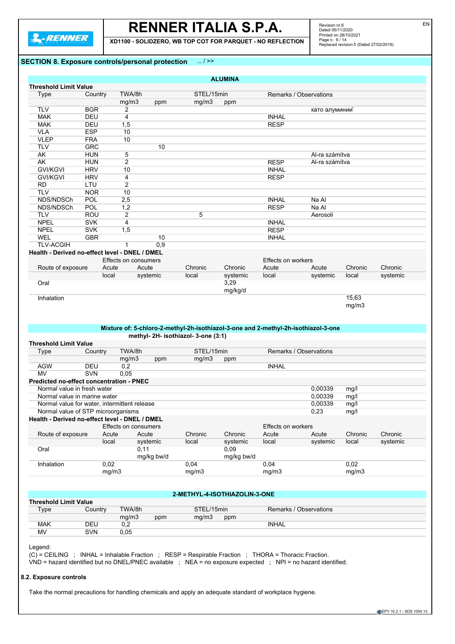

**XD1100 - SOLIDZERO, WB TOP COT FOR PARQUET - NO REFLECTION**

Revision nr.6<br>Dated 05/11/2020<br>Printed on 28/10/2021<br>Page n. 6 / 14<br>Replaced revision:5 (Dated 27/02/2019)

## **SECTION 8. Exposure controls/personal protection** ... / >>

| <b>Threshold Limit Value</b>                                                                                               |            |                      |            |                                  |                               |                           |                                                                                    |         |          |
|----------------------------------------------------------------------------------------------------------------------------|------------|----------------------|------------|----------------------------------|-------------------------------|---------------------------|------------------------------------------------------------------------------------|---------|----------|
| <b>Type</b>                                                                                                                | Country    | TWA/8h               |            | STEL/15min                       |                               |                           | Remarks / Observations                                                             |         |          |
|                                                                                                                            |            | mg/m3                | ppm        | mg/m3                            | ppm                           |                           |                                                                                    |         |          |
| <b>TLV</b>                                                                                                                 | <b>BGR</b> | $\overline{2}$       |            |                                  |                               |                           | като алуминий                                                                      |         |          |
| <b>MAK</b>                                                                                                                 | DEU        | $\overline{4}$       |            |                                  |                               | <b>INHAL</b>              |                                                                                    |         |          |
| <b>MAK</b>                                                                                                                 | DEU        | 1,5                  |            |                                  |                               | <b>RESP</b>               |                                                                                    |         |          |
| <b>VLA</b>                                                                                                                 | <b>ESP</b> | 10                   |            |                                  |                               |                           |                                                                                    |         |          |
| <b>VLEP</b>                                                                                                                | <b>FRA</b> | 10                   |            |                                  |                               |                           |                                                                                    |         |          |
| <b>TLV</b>                                                                                                                 | <b>GRC</b> |                      | 10         |                                  |                               |                           |                                                                                    |         |          |
| AK                                                                                                                         | HUN        | 5                    |            |                                  |                               |                           | Al-ra számítva                                                                     |         |          |
| AK                                                                                                                         | <b>HUN</b> | $\overline{2}$       |            |                                  |                               | <b>RESP</b>               | Al-ra számítva                                                                     |         |          |
| <b>GVI/KGVI</b>                                                                                                            | <b>HRV</b> | 10                   |            |                                  |                               | <b>INHAL</b>              |                                                                                    |         |          |
| <b>GVI/KGVI</b>                                                                                                            | <b>HRV</b> | 4                    |            |                                  |                               | <b>RESP</b>               |                                                                                    |         |          |
| <b>RD</b>                                                                                                                  | LTU        | $\overline{2}$       |            |                                  |                               |                           |                                                                                    |         |          |
| <b>TLV</b>                                                                                                                 | <b>NOR</b> | 10                   |            |                                  |                               |                           |                                                                                    |         |          |
| NDS/NDSCh                                                                                                                  | <b>POL</b> | 2,5                  |            |                                  |                               | <b>INHAL</b>              | Na Al                                                                              |         |          |
| NDS/NDSCh                                                                                                                  | <b>POL</b> | 1,2                  |            |                                  |                               | <b>RESP</b>               | Na Al                                                                              |         |          |
| <b>TLV</b>                                                                                                                 | <b>ROU</b> | 2                    |            | 5                                |                               |                           | Aerosoli                                                                           |         |          |
| <b>NPEL</b>                                                                                                                | <b>SVK</b> | 4                    |            |                                  |                               | <b>INHAL</b>              |                                                                                    |         |          |
| <b>NPEL</b>                                                                                                                | <b>SVK</b> | 1,5                  |            |                                  |                               | <b>RESP</b>               |                                                                                    |         |          |
| <b>WEL</b>                                                                                                                 | <b>GBR</b> |                      | 10         |                                  |                               | <b>INHAL</b>              |                                                                                    |         |          |
| <b>TLV-ACGIH</b>                                                                                                           |            | $\mathbf{1}$         | 0,9        |                                  |                               |                           |                                                                                    |         |          |
| Health - Derived no-effect level - DNEL / DMEL                                                                             |            |                      |            |                                  |                               |                           |                                                                                    |         |          |
|                                                                                                                            |            | Effects on consumers |            |                                  |                               | <b>Effects on workers</b> |                                                                                    |         |          |
| Route of exposure                                                                                                          |            | Acute                | Acute      | Chronic                          | Chronic                       | Acute                     | Acute                                                                              | Chronic | Chronic  |
|                                                                                                                            | local      |                      | systemic   | local                            | systemic                      | local                     | systemic                                                                           | local   | systemic |
| Oral                                                                                                                       |            |                      |            |                                  | 3,29                          |                           |                                                                                    |         |          |
|                                                                                                                            |            |                      |            |                                  | mg/kg/d                       |                           |                                                                                    |         |          |
|                                                                                                                            |            |                      |            |                                  |                               |                           |                                                                                    | 15,63   |          |
| Inhalation                                                                                                                 |            |                      |            |                                  |                               |                           | Mixture of: 5-chloro-2-methyl-2h-isothiazol-3-one and 2-methyl-2h-isothiazol-3-one | mg/m3   |          |
|                                                                                                                            |            |                      |            | methyl-2H-isothiazol-3-one (3:1) |                               |                           |                                                                                    |         |          |
| <b>Type</b>                                                                                                                | Country    | TWA/8h               |            | STEL/15min                       |                               |                           | Remarks / Observations                                                             |         |          |
|                                                                                                                            |            | mg/m3                | ppm        | mg/m3                            | ppm                           |                           |                                                                                    |         |          |
| <b>AGW</b>                                                                                                                 | <b>DEU</b> | 0,2                  |            |                                  |                               | <b>INHAL</b>              |                                                                                    |         |          |
| <b>MV</b>                                                                                                                  | SVN        | 0.05                 |            |                                  |                               |                           |                                                                                    |         |          |
|                                                                                                                            |            |                      |            |                                  |                               |                           |                                                                                    |         |          |
| Normal value in fresh water                                                                                                |            |                      |            |                                  |                               |                           | 0,00339                                                                            | mg/l    |          |
| Normal value in marine water                                                                                               |            |                      |            |                                  |                               |                           | 0,00339                                                                            | mg/l    |          |
| Normal value for water, intermittent release                                                                               |            |                      |            |                                  |                               |                           | 0.00339                                                                            | mg/l    |          |
| Normal value of STP microorganisms                                                                                         |            |                      |            |                                  |                               |                           | 0,23                                                                               | mg/l    |          |
|                                                                                                                            |            |                      |            |                                  |                               |                           |                                                                                    |         |          |
|                                                                                                                            |            | Effects on consumers |            |                                  |                               | Effects on workers        |                                                                                    |         |          |
| Route of exposure                                                                                                          |            | Acute                | Acute      | Chronic                          | Chronic                       | Acute                     | Acute                                                                              | Chronic | Chronic  |
|                                                                                                                            | local      |                      | systemic   | local                            | systemic                      | local                     | systemic                                                                           | local   | systemic |
| Oral                                                                                                                       |            | 0,11                 |            |                                  | 0,09                          |                           |                                                                                    |         |          |
| <b>Threshold Limit Value</b><br>Predicted no-effect concentration - PNEC<br>Health - Derived no-effect level - DNEL / DMEL |            |                      | mg/kg bw/d |                                  | mg/kg bw/d                    |                           |                                                                                    |         |          |
| Inhalation                                                                                                                 | 0,02       |                      |            | 0,04                             |                               | 0,04                      |                                                                                    | 0,02    |          |
|                                                                                                                            |            | mg/m3                |            | mg/m3                            |                               | mg/m3                     |                                                                                    | mg/m3   |          |
|                                                                                                                            |            |                      |            |                                  |                               |                           |                                                                                    |         |          |
|                                                                                                                            |            |                      |            |                                  |                               |                           |                                                                                    |         |          |
|                                                                                                                            |            |                      |            |                                  | 2-METHYL-4-ISOTHIAZOLIN-3-ONE |                           |                                                                                    |         |          |
|                                                                                                                            |            |                      |            |                                  |                               |                           |                                                                                    |         |          |
| <b>Type</b>                                                                                                                | Country    | TWA/8h               |            | STEL/15min                       |                               |                           | Remarks / Observations                                                             |         |          |
|                                                                                                                            |            | mg/m3                | ppm        | mg/m3                            | ppm                           |                           |                                                                                    |         |          |
| <b>MAK</b>                                                                                                                 | DEU        | 0,2                  |            |                                  |                               | <b>INHAL</b>              |                                                                                    |         |          |
| <b>Threshold Limit Value</b>                                                                                               |            |                      |            |                                  |                               |                           |                                                                                    |         |          |
| <b>MV</b>                                                                                                                  | <b>SVN</b> | 0,05                 |            |                                  |                               |                           |                                                                                    |         |          |
| Legend:                                                                                                                    |            |                      |            |                                  |                               |                           |                                                                                    |         |          |

**8.2. Exposure controls**

Take the normal precautions for handling chemicals and apply an adequate standard of workplace hygiene.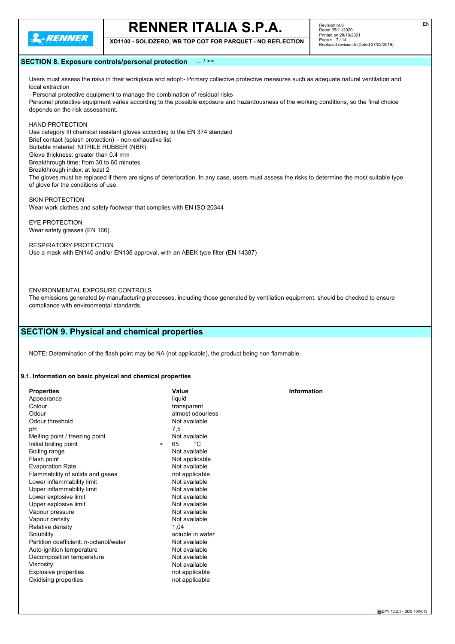

**XD1100 - SOLIDZERO, WB TOP COT FOR PARQUET - NO REFLECTION**

Revision nr.6 Dated 05/11/2020 Printed on 28/10/2021 Page n. 7 / 14 Replaced revision:5 (Dated 27/02/2019)

### **SECTION 8. Exposure controls/personal protection** ... / >>

Users must assess the risks in their workplace and adopt:- Primary collective protective measures such as adequate natural ventilation and local extraction

- Personal protective equipment to manage the combination of residual risks Personal protective equipment varies according to the possible exposure and hazardousness of the working conditions, so the final choice depends on the risk assessment.

## HAND PROTECTION

Use category III chemical resistant gloves according to the EN 374 standard Brief contact (splash protection) – non-exhaustive list Suitable material: NITRILE RUBBER (NBR) Glove thickness: greater than 0.4 mm Breakthrough time: from 30 to 60 minutes Breakthrough index: at least 2 The gloves must be replaced if there are signs of deterioration. In any case, users must assess the risks to determine the most suitable type of glove for the conditions of use.

SKIN PROTECTION

Wear work clothes and safety footwear that complies with EN ISO 20344

EYE PROTECTION Wear safety glasses (EN 166).

RESPIRATORY PROTECTION Use a mask with EN140 and/or EN136 approval, with an ABEK type filter (EN 14387)

## ENVIRONMENTAL EXPOSURE CONTROLS

The emissions generated by manufacturing processes, including those generated by ventilation equipment, should be checked to ensure compliance with environmental standards.

## **SECTION 9. Physical and chemical properties**

NOTE: Determination of the flash point may be NA (not applicable), the product being non flammable.

#### **9.1. Information on basic physical and chemical properties**

| <b>Properties</b>                      | Value            | <b>Information</b> |
|----------------------------------------|------------------|--------------------|
| Appearance                             | liquid           |                    |
| Colour                                 | transparent      |                    |
| Odour                                  | almost odourless |                    |
| Odour threshold                        | Not available    |                    |
| рH                                     | 7,5              |                    |
| Melting point / freezing point         | Not available    |                    |
| Initial boiling point<br>$\geq$        | 65<br>°C         |                    |
| Boiling range                          | Not available    |                    |
| Flash point                            | Not applicable   |                    |
| <b>Evaporation Rate</b>                | Not available    |                    |
| Flammability of solids and gases       | not applicable   |                    |
| Lower inflammability limit             | Not available    |                    |
| Upper inflammability limit             | Not available    |                    |
| Lower explosive limit                  | Not available    |                    |
| Upper explosive limit                  | Not available    |                    |
| Vapour pressure                        | Not available    |                    |
| Vapour density                         | Not available    |                    |
| Relative density                       | 1.04             |                    |
| Solubility                             | soluble in water |                    |
| Partition coefficient: n-octanol/water | Not available    |                    |
| Auto-ignition temperature              | Not available    |                    |
| Decomposition temperature              | Not available    |                    |
| Viscosity                              | Not available    |                    |
| Explosive properties                   | not applicable   |                    |
| Oxidising properties                   | not applicable   |                    |
|                                        |                  |                    |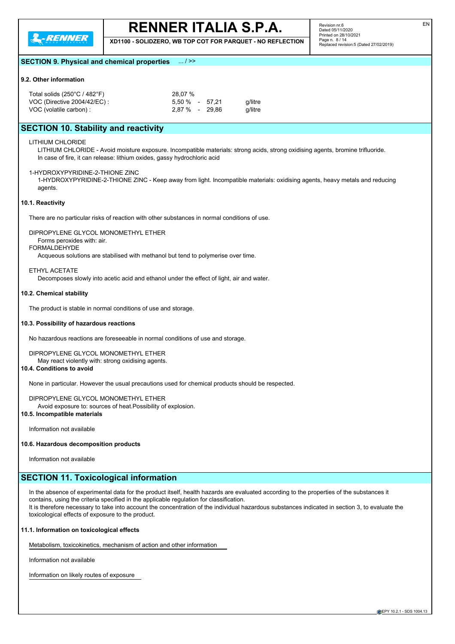

**XD1100 - SOLIDZERO, WB TOP COT FOR PARQUET - NO REFLECTION**

Revision nr.6 Dated 05/11/2020 Printed on 28/10/2021 Page n. 8 / 14 Replaced revision:5 (Dated 27/02/2019)

## **SECTION 9. Physical and chemical properties** ... / >>

## **9.2. Other information**

| Total solids $(250^{\circ}C / 482^{\circ}F)$ | 28.07 %          |         |
|----------------------------------------------|------------------|---------|
| VOC (Directive 2004/42/EC) :                 | 5.50 % - 57.21   | q/litre |
| VOC (volatile carbon) :                      | $2.87\%$ - 29.86 | a/litre |

## **SECTION 10. Stability and reactivity**

LITHIUM CHLORIDE

LITHIUM CHLORIDE - Avoid moisture exposure. Incompatible materials: strong acids, strong oxidising agents, bromine trifluoride. In case of fire, it can release: lithium oxides, gassy hydrochloric acid

### 1-HYDROXYPYRIDINE-2-THIONE ZINC

1-HYDROXYPYRIDINE-2-THIONE ZINC - Keep away from light. Incompatible materials: oxidising agents, heavy metals and reducing agents.

#### **10.1. Reactivity**

There are no particular risks of reaction with other substances in normal conditions of use.

## DIPROPYLENE GLYCOL MONOMETHYL ETHER

Forms peroxides with: air.

## FORMALDEHYDE

Acqueous solutions are stabilised with methanol but tend to polymerise over time.

## ETHYL ACETATE

Decomposes slowly into acetic acid and ethanol under the effect of light, air and water.

#### **10.2. Chemical stability**

The product is stable in normal conditions of use and storage.

#### **10.3. Possibility of hazardous reactions**

No hazardous reactions are foreseeable in normal conditions of use and storage.

## DIPROPYLENE GLYCOL MONOMETHYL ETHER

May react violently with: strong oxidising agents.

## **10.4. Conditions to avoid**

None in particular. However the usual precautions used for chemical products should be respected.

### DIPROPYLENE GLYCOL MONOMETHYL ETHER

Avoid exposure to: sources of heat.Possibility of explosion.

## **10.5. Incompatible materials**

Information not available

### **10.6. Hazardous decomposition products**

Information not available

## **SECTION 11. Toxicological information**

In the absence of experimental data for the product itself, health hazards are evaluated according to the properties of the substances it contains, using the criteria specified in the applicable regulation for classification. It is therefore necessary to take into account the concentration of the individual hazardous substances indicated in section 3, to evaluate the toxicological effects of exposure to the product.

## **11.1. Information on toxicological effects**

Metabolism, toxicokinetics, mechanism of action and other information

Information not available

Information on likely routes of exposure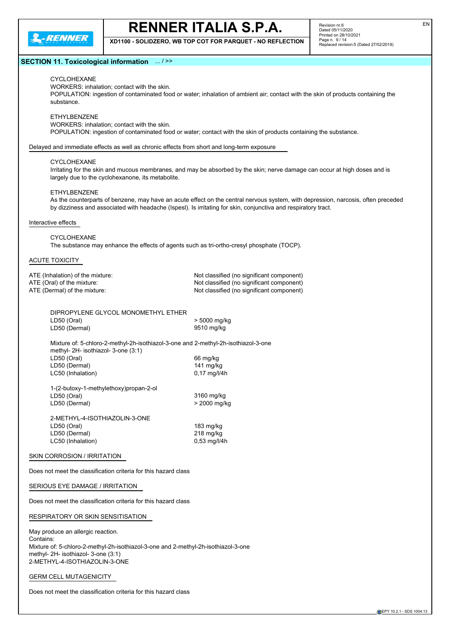

**XD1100 - SOLIDZERO, WB TOP COT FOR PARQUET - NO REFLECTION**

## **SECTION 11. Toxicological information** ... / >>

CYCLOHEXANE

WORKERS: inhalation; contact with the skin.

POPULATION: ingestion of contaminated food or water; inhalation of ambient air; contact with the skin of products containing the substance.

ETHYLBENZENE

WORKERS: inhalation; contact with the skin.

POPULATION: ingestion of contaminated food or water; contact with the skin of products containing the substance.

Delayed and immediate effects as well as chronic effects from short and long-term exposure

#### CYCLOHEXANE

Irritating for the skin and mucous membranes, and may be absorbed by the skin; nerve damage can occur at high doses and is largely due to the cyclohexanone, its metabolite.

### **ETHYLBENZENE**

As the counterparts of benzene, may have an acute effect on the central nervous system, with depression, narcosis, often preceded by dizziness and associated with headache (Ispesl). Is irritating for skin, conjunctiva and respiratory tract.

#### Interactive effects

CYCLOHEXANE The substance may enhance the effects of agents such as tri-ortho-cresyl phosphate (TOCP).

## ACUTE TOXICITY

| ATE (Inhalation) of the mixture:    | Not classified (no significant component) |
|-------------------------------------|-------------------------------------------|
| ATE (Oral) of the mixture:          | Not classified (no significant component) |
| ATE (Dermal) of the mixture:        | Not classified (no significant component) |
| DIPROPYLENE GLYCOL MONOMETHYL ETHER |                                           |
| LD50 (Oral)                         | > 5000 mg/kg                              |

Mixture of: 5-chloro-2-methyl-2h-isothiazol-3-one and 2-methyl-2h-isothiazol-3-one methyl- 2H- isothiazol- 3-one (3:1) LD50 (Oral) 66 mg/kg LD50 (Dermal) 141 mg/kg<br>
LC50 (Inhalation) 6,17 mg/l/4h LC50 (Inhalation)

| 3160 mg/kg     |
|----------------|
| > 2000 mg/kg   |
|                |
|                |
| 183 mg/kg      |
| $218$ mg/kg    |
| $0.53$ mg/l/4h |
|                |

LD50 (Dermal) 9510 mg/kg

## SKIN CORROSION / IRRITATION

Does not meet the classification criteria for this hazard class

## SERIOUS EYE DAMAGE / IRRITATION

Does not meet the classification criteria for this hazard class

#### RESPIRATORY OR SKIN SENSITISATION

May produce an allergic reaction. Contains: Mixture of: 5-chloro-2-methyl-2h-isothiazol-3-one and 2-methyl-2h-isothiazol-3-one methyl- 2H- isothiazol- 3-one (3:1) 2-METHYL-4-ISOTHIAZOLIN-3-ONE

GERM CELL MUTAGENICITY

Does not meet the classification criteria for this hazard class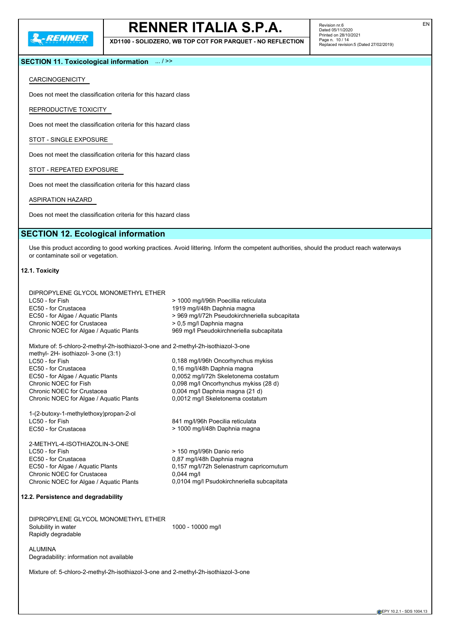

**XD1100 - SOLIDZERO, WB TOP COT FOR PARQUET - NO REFLECTION**

Revision nr.6 Dated 05/11/2020 Printed on 28/10/2021 Page n. 10 / 14 Replaced revision:5 (Dated 27/02/2019)

## **SECTION 11. Toxicological information** ... / >>

## CARCINOGENICITY

Does not meet the classification criteria for this hazard class

REPRODUCTIVE TOXICITY

Does not meet the classification criteria for this hazard class

STOT - SINGLE EXPOSURE

Does not meet the classification criteria for this hazard class

STOT - REPEATED EXPOSURE

Does not meet the classification criteria for this hazard class

ASPIRATION HAZARD

Does not meet the classification criteria for this hazard class

## **SECTION 12. Ecological information**

Use this product according to good working practices. Avoid littering. Inform the competent authorities, should the product reach waterways or contaminate soil or vegetation.

## **12.1. Toxicity**

|                                     | DIPROPYLENE GLYCOL MONOMETHYL ETHER                                                                                                                                                                                                                                                                         |                                                                                                                                                                                                                           |
|-------------------------------------|-------------------------------------------------------------------------------------------------------------------------------------------------------------------------------------------------------------------------------------------------------------------------------------------------------------|---------------------------------------------------------------------------------------------------------------------------------------------------------------------------------------------------------------------------|
|                                     | LC50 - for Fish                                                                                                                                                                                                                                                                                             | > 1000 mg/l/96h Poecillia reticulata                                                                                                                                                                                      |
|                                     | EC50 - for Crustacea                                                                                                                                                                                                                                                                                        | 1919 mg/l/48h Daphnia magna                                                                                                                                                                                               |
|                                     | EC50 - for Algae / Aquatic Plants                                                                                                                                                                                                                                                                           | > 969 mg/l/72h Pseudokirchneriella subcapitata                                                                                                                                                                            |
|                                     | Chronic NOEC for Crustacea                                                                                                                                                                                                                                                                                  | > 0,5 mg/l Daphnia magna                                                                                                                                                                                                  |
|                                     | Chronic NOEC for Algae / Aquatic Plants                                                                                                                                                                                                                                                                     | 969 mg/l Pseudokirchneriella subcapitata                                                                                                                                                                                  |
|                                     | Mixture of: 5-chloro-2-methyl-2h-isothiazol-3-one and 2-methyl-2h-isothiazol-3-one<br>methyl- 2H- isothiazol- 3-one (3:1)<br>LC50 - for Fish<br>EC50 - for Crustacea<br>EC50 - for Algae / Aquatic Plants<br>Chronic NOEC for Fish<br>Chronic NOEC for Crustacea<br>Chronic NOEC for Algae / Aquatic Plants | 0,188 mg/l/96h Oncorhynchus mykiss<br>0,16 mg/l/48h Daphnia magna<br>0,0052 mg/l/72h Skeletonema costatum<br>0,098 mg/l Oncorhynchus mykiss (28 d)<br>0,004 mg/l Daphnia magna (21 d)<br>0,0012 mg/l Skeletonema costatum |
|                                     | 1-(2-butoxy-1-methylethoxy)propan-2-ol<br>LC50 - for Fish<br>EC50 - for Crustacea                                                                                                                                                                                                                           | 841 mg/l/96h Poecilia reticulata<br>> 1000 mg/l/48h Daphnia magna                                                                                                                                                         |
|                                     | 2-METHYL-4-ISOTHIAZOLIN-3-ONE<br>LC50 - for Fish<br>EC50 - for Crustacea<br>EC50 - for Algae / Aquatic Plants<br>Chronic NOEC for Crustacea<br>Chronic NOEC for Algae / Aquatic Plants                                                                                                                      | > 150 mg/l/96h Danio rerio<br>0,87 mg/l/48h Daphnia magna<br>0.157 mg/l/72h Selenastrum capricornutum<br>$0,044$ mg/l<br>0,0104 mg/l Psudokirchneriella subcapitata                                                       |
| 12.2. Persistence and degradability |                                                                                                                                                                                                                                                                                                             |                                                                                                                                                                                                                           |
|                                     | DIPROPYLENE GLYCOL MONOMETHYL ETHER<br>Solubility in water<br>Rapidly degradable                                                                                                                                                                                                                            | 1000 - 10000 mg/l                                                                                                                                                                                                         |

ALUMINA Degradability: information not available

Mixture of: 5-chloro-2-methyl-2h-isothiazol-3-one and 2-methyl-2h-isothiazol-3-one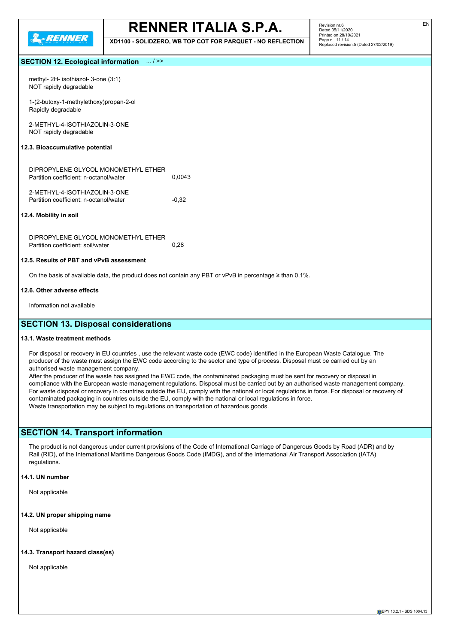

**XD1100 - SOLIDZERO, WB TOP COT FOR PARQUET - NO REFLECTION**

## **SECTION 12. Ecological information** ... / >>

| methyl- $2H$ - isothiazol- 3-one $(3:1)$ |
|------------------------------------------|
| NOT rapidly degradable                   |

1-(2-butoxy-1-methylethoxy)propan-2-ol Rapidly degradable

2-METHYL-4-ISOTHIAZOLIN-3-ONE NOT rapidly degradable

#### **12.3. Bioaccumulative potential**

| DIPROPYLENE GLYCOL MONOMETHYL ETHER    |        |
|----------------------------------------|--------|
| Partition coefficient: n-octanol/water | 0.0043 |
|                                        |        |
| 2-METHYL-4-ISOTHIAZOLIN-3-ONE          |        |

| Partition coefficient: n-octanol/water | $-0.32$ |
|----------------------------------------|---------|
|                                        |         |

## **12.4. Mobility in soil**

DIPROPYLENE GLYCOL MONOMETHYL ETHER Partition coefficient: soil/water 0,28

## **12.5. Results of PBT and vPvB assessment**

On the basis of available data, the product does not contain any PBT or vPvB in percentage ≥ than 0,1%.

### **12.6. Other adverse effects**

Information not available

## **SECTION 13. Disposal considerations**

## **13.1. Waste treatment methods**

For disposal or recovery in EU countries , use the relevant waste code (EWC code) identified in the European Waste Catalogue. The producer of the waste must assign the EWC code according to the sector and type of process. Disposal must be carried out by an authorised waste management company.

After the producer of the waste has assigned the EWC code, the contaminated packaging must be sent for recovery or disposal in compliance with the European waste management regulations. Disposal must be carried out by an authorised waste management company. For waste disposal or recovery in countries outside the EU, comply with the national or local regulations in force. For disposal or recovery of contaminated packaging in countries outside the EU, comply with the national or local regulations in force. Waste transportation may be subject to regulations on transportation of hazardous goods.

## **SECTION 14. Transport information**

The product is not dangerous under current provisions of the Code of International Carriage of Dangerous Goods by Road (ADR) and by Rail (RID), of the International Maritime Dangerous Goods Code (IMDG), and of the International Air Transport Association (IATA) regulations.

## **14.1. UN number**

Not applicable

## **14.2. UN proper shipping name**

Not applicable

### **14.3. Transport hazard class(es)**

Not applicable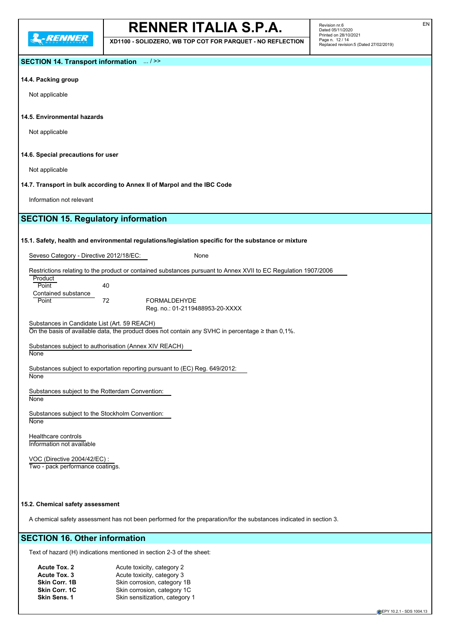**L-RENNER** 

## **RENNER ITALIA S.P.A.**

**XD1100 - SOLIDZERO, WB TOP COT FOR PARQUET - NO REFLECTION**

Revision nr.6 Dated 05/11/2020 Printed on 28/10/2021 Page n. 12 / 14 Replaced revision:5 (Dated 27/02/2019)

## **SECTION 14. Transport information** ... / >>

## **14.4. Packing group**

Not applicable

### **14.5. Environmental hazards**

Not applicable

### **14.6. Special precautions for user**

Not applicable

**14.7. Transport in bulk according to Annex II of Marpol and the IBC Code**

Information not relevant

## **SECTION 15. Regulatory information**

### **15.1. Safety, health and environmental regulations/legislation specific for the substance or mixture**

Seveso Category - Directive 2012/18/EC: None

Restrictions relating to the product or contained substances pursuant to Annex XVII to EC Regulation 1907/2006 **Product** 

| Point               | 40 |    |
|---------------------|----|----|
| Contained substance |    |    |
| Point               | 72 | FΟ |
|                     |    | e  |

**RMALDEHYDE** g. no.: 01-2119488953-20-XXXX

Substances in Candidate List (Art. 59 REACH) On the basis of available data, the product does not contain any SVHC in percentage ≥ than 0,1%.

Substances subject to authorisation (Annex XIV REACH) None

Substances subject to exportation reporting pursuant to (EC) Reg. 649/2012: **None** 

Substances subject to the Rotterdam Convention: **None** 

Substances subject to the Stockholm Convention: **None** 

Healthcare controls Information not available

VOC (Directive 2004/42/EC) : Two - pack performance coatings.

### **15.2. Chemical safety assessment**

A chemical safety assessment has not been performed for the preparation/for the substances indicated in section 3.

## **SECTION 16. Other information**

Text of hazard (H) indications mentioned in section 2-3 of the sheet:

| Acute Tox. 2         | Acute toxicity, category 2     |
|----------------------|--------------------------------|
| Acute Tox. 3         | Acute toxicity, category 3     |
| Skin Corr. 1B        | Skin corrosion, category 1B    |
| <b>Skin Corr. 1C</b> | Skin corrosion, category 1C    |
| <b>Skin Sens. 1</b>  | Skin sensitization, category 1 |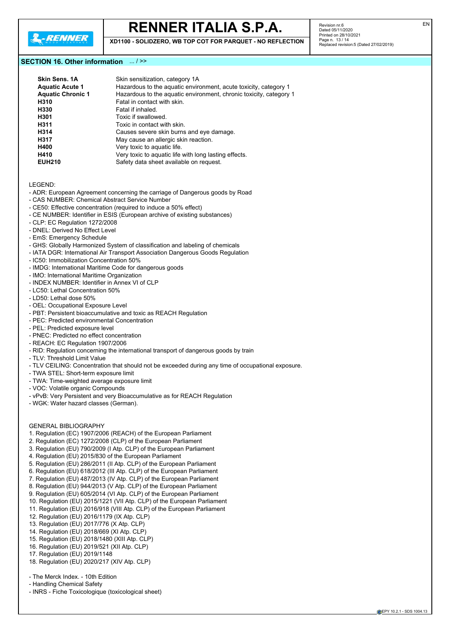

**XD1100 - SOLIDZERO, WB TOP COT FOR PARQUET - NO REFLECTION**

## **SECTION 16. Other information** ... / >>

| Skin Sens, 1A            | Skin sensitization, category 1A                                    |
|--------------------------|--------------------------------------------------------------------|
| <b>Aquatic Acute 1</b>   | Hazardous to the aquatic environment, acute toxicity, category 1   |
| <b>Aquatic Chronic 1</b> | Hazardous to the aquatic environment, chronic toxicity, category 1 |
| H310                     | Fatal in contact with skin.                                        |
| H330                     | Fatal if inhaled.                                                  |
| H301                     | Toxic if swallowed.                                                |
| H311                     | Toxic in contact with skin.                                        |
| H314                     | Causes severe skin burns and eye damage.                           |
| H317                     | May cause an allergic skin reaction.                               |
| H400                     | Very toxic to aquatic life.                                        |
| H410                     | Very toxic to aquatic life with long lasting effects.              |
| <b>EUH210</b>            | Safety data sheet available on request.                            |
|                          |                                                                    |

LEGEND:

- ADR: European Agreement concerning the carriage of Dangerous goods by Road
- CAS NUMBER: Chemical Abstract Service Number
- CE50: Effective concentration (required to induce a 50% effect)
- CE NUMBER: Identifier in ESIS (European archive of existing substances)
- CLP: EC Regulation 1272/2008
- DNEL: Derived No Effect Level
- EmS: Emergency Schedule
- GHS: Globally Harmonized System of classification and labeling of chemicals
- IATA DGR: International Air Transport Association Dangerous Goods Regulation
- IC50: Immobilization Concentration 50%
- IMDG: International Maritime Code for dangerous goods
- IMO: International Maritime Organization
- INDEX NUMBER: Identifier in Annex VI of CLP
- LC50: Lethal Concentration 50%
- LD50: Lethal dose 50%
- OEL: Occupational Exposure Level
- PBT: Persistent bioaccumulative and toxic as REACH Regulation
- PEC: Predicted environmental Concentration
- PEL: Predicted exposure level
- PNEC: Predicted no effect concentration
- REACH: EC Regulation 1907/2006
- RID: Regulation concerning the international transport of dangerous goods by train
- TLV: Threshold Limit Value
- TLV CEILING: Concentration that should not be exceeded during any time of occupational exposure.
- TWA STEL: Short-term exposure limit
- TWA: Time-weighted average exposure limit
- VOC: Volatile organic Compounds
- vPvB: Very Persistent and very Bioaccumulative as for REACH Regulation
- WGK: Water hazard classes (German).

### GENERAL BIBLIOGRAPHY

- 1. Regulation (EC) 1907/2006 (REACH) of the European Parliament
- 2. Regulation (EC) 1272/2008 (CLP) of the European Parliament
- 3. Regulation (EU) 790/2009 (I Atp. CLP) of the European Parliament
- 4. Regulation (EU) 2015/830 of the European Parliament
- 5. Regulation (EU) 286/2011 (II Atp. CLP) of the European Parliament
- 6. Regulation (EU) 618/2012 (III Atp. CLP) of the European Parliament
- 7. Regulation (EU) 487/2013 (IV Atp. CLP) of the European Parliament
- 8. Regulation (EU) 944/2013 (V Atp. CLP) of the European Parliament
- 9. Regulation (EU) 605/2014 (VI Atp. CLP) of the European Parliament
- 10. Regulation (EU) 2015/1221 (VII Atp. CLP) of the European Parliament
- 11. Regulation (EU) 2016/918 (VIII Atp. CLP) of the European Parliament
- 12. Regulation (EU) 2016/1179 (IX Atp. CLP)
- 13. Regulation (EU) 2017/776 (X Atp. CLP)
- 14. Regulation (EU) 2018/669 (XI Atp. CLP)
- 15. Regulation (EU) 2018/1480 (XIII Atp. CLP)
- 16. Regulation (EU) 2019/521 (XII Atp. CLP)
- 17. Regulation (EU) 2019/1148
- 18. Regulation (EU) 2020/217 (XIV Atp. CLP)

- The Merck Index. - 10th Edition

- Handling Chemical Safety
- INRS Fiche Toxicologique (toxicological sheet)